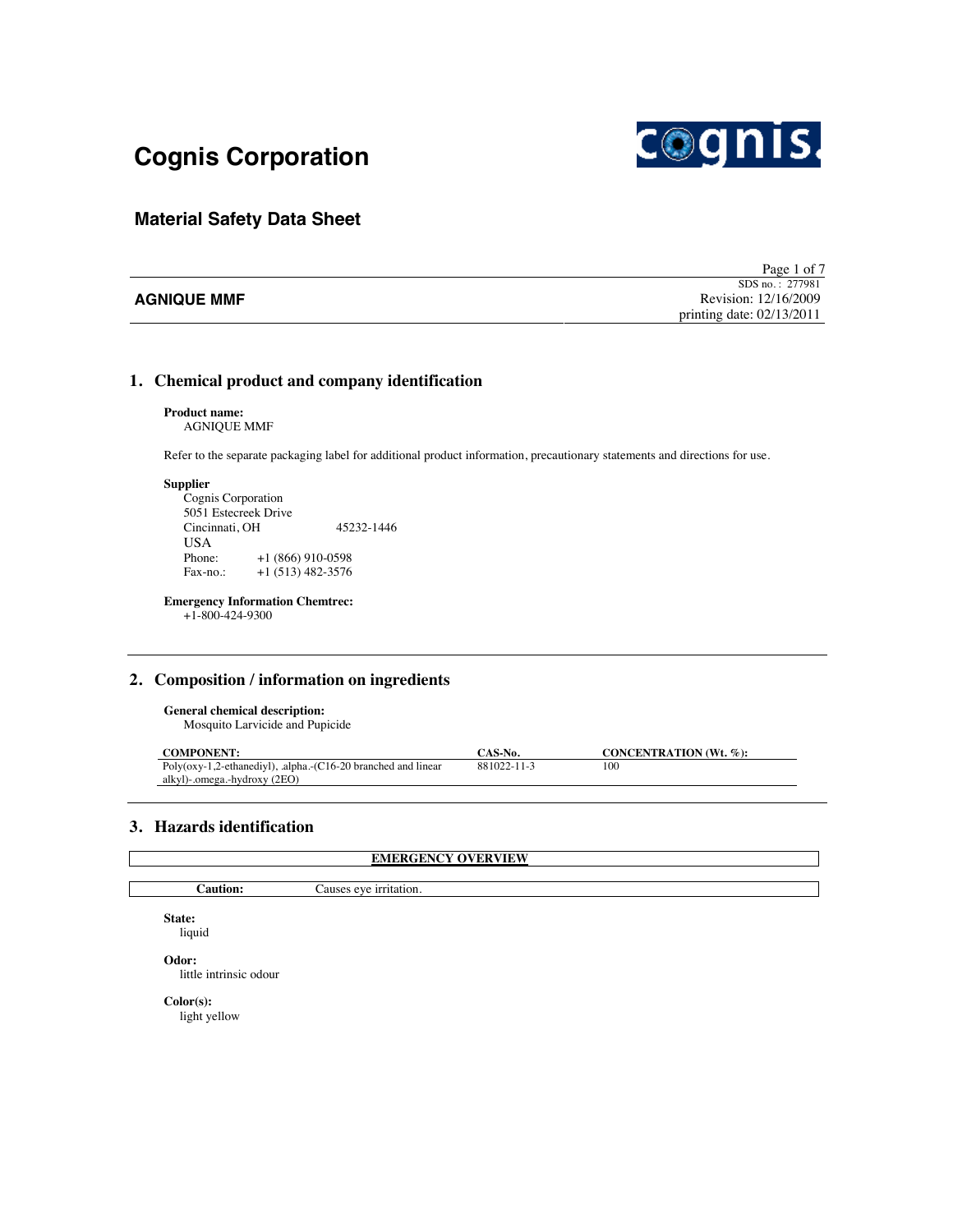

### **Material Safety Data Sheet**

|                    | Page 1 of 7                 |
|--------------------|-----------------------------|
|                    | SDS no.: 277981             |
| <b>AGNIQUE MMF</b> | Revision: 12/16/2009        |
|                    | printing date: $02/13/2011$ |

### **1. Chemical product and company identification**

**Product name:**  AGNIQUE MMF

Refer to the separate packaging label for additional product information, precautionary statements and directions for use.

### **Supplier**

Cognis Corporation 5051 Estecreek Drive Cincinnati, OH 45232-1446 USA<br>Phone: Phone: +1 (866) 910-0598<br>Fax-no.: +1 (513) 482-3576  $+1$  (513) 482-3576

**Emergency Information Chemtrec:**  +1-800-424-9300

### **2. Composition / information on ingredients**

**General chemical description:**  Mosquito Larvicide and Pupicide

| <b>COMPONENT:</b>                                                  | $CAS-N0$ .  | CONCENTRATION $(Wt, \mathcal{C}_0)$ : |
|--------------------------------------------------------------------|-------------|---------------------------------------|
| $Poly(oxy-1,2-ethanediyl),$ alpha. $-$ (C16-20 branched and linear | 881022-11-3 | 100                                   |
| alkyl)-.omega.-hydroxy (2EO)                                       |             |                                       |

### **3. Hazards identification**

| <b>EMERGENCY OVERVIEW</b>       |                        |  |
|---------------------------------|------------------------|--|
| <b>Caution:</b>                 | Causes eye irritation. |  |
| State:<br>liquid                |                        |  |
| Odor:<br>little intrinsic odour |                        |  |
| Color(s):<br>light yellow       |                        |  |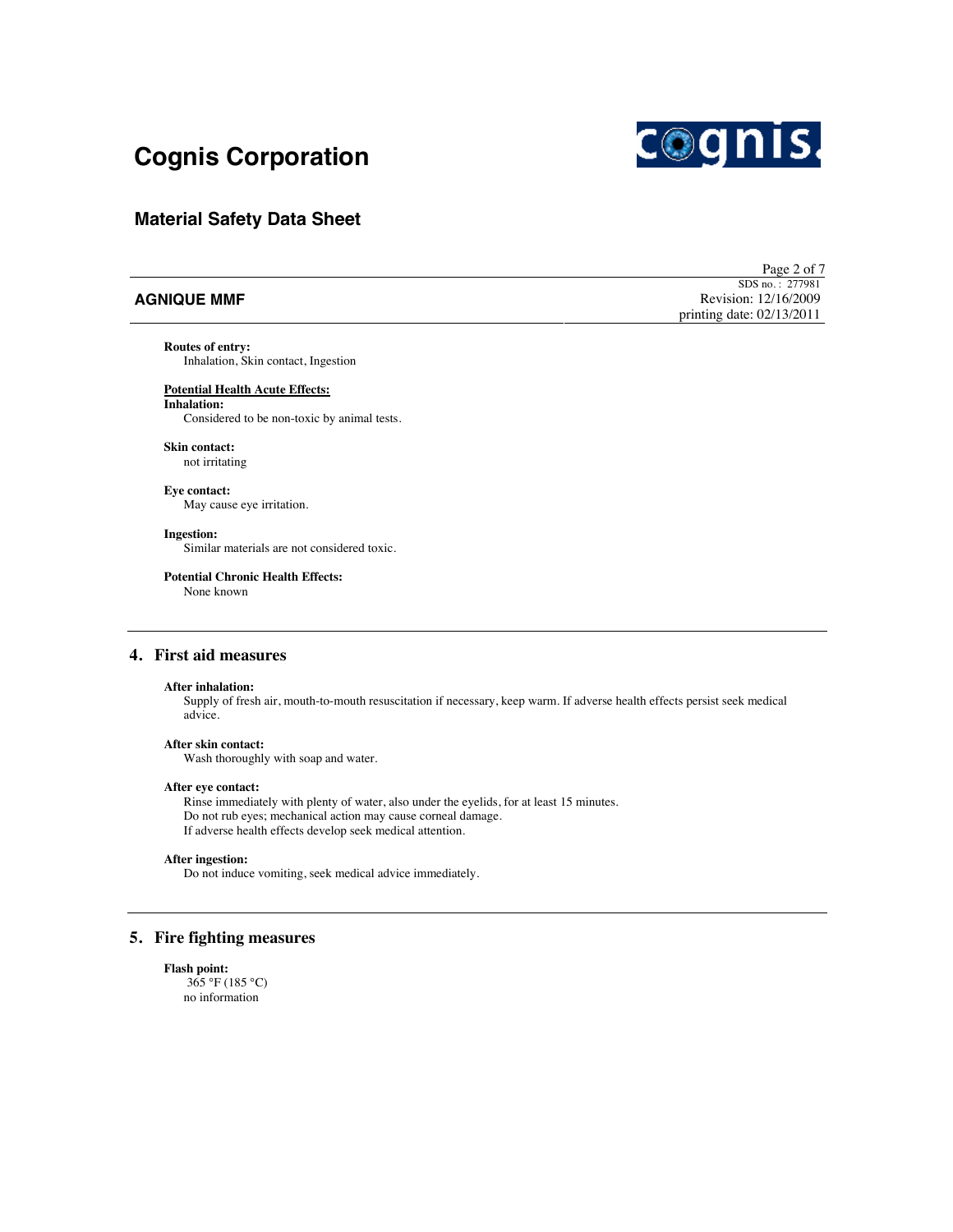

### **Material Safety Data Sheet**

Page 2 of 7 SDS no.: 277981 **AGNIQUE MMF** Revision: 12/16/2009 printing date: 02/13/2011

**Routes of entry:**  Inhalation, Skin contact, Ingestion

### **Potential Health Acute Effects:**

**Inhalation:**  Considered to be non-toxic by animal tests.

**Skin contact:**  not irritating

**Eye contact:**  May cause eye irritation.

**Ingestion:** 

Similar materials are not considered toxic.

**Potential Chronic Health Effects:**  None known

### **4. First aid measures**

### **After inhalation:**

Supply of fresh air, mouth-to-mouth resuscitation if necessary, keep warm. If adverse health effects persist seek medical advice.

### **After skin contact:**

Wash thoroughly with soap and water.

### **After eye contact:**

Rinse immediately with plenty of water, also under the eyelids, for at least 15 minutes. Do not rub eyes; mechanical action may cause corneal damage. If adverse health effects develop seek medical attention.

### **After ingestion:**

Do not induce vomiting, seek medical advice immediately.

### **5. Fire fighting measures**

**Flash point:** 

 $365 \text{ °F}$  (185 °C) no information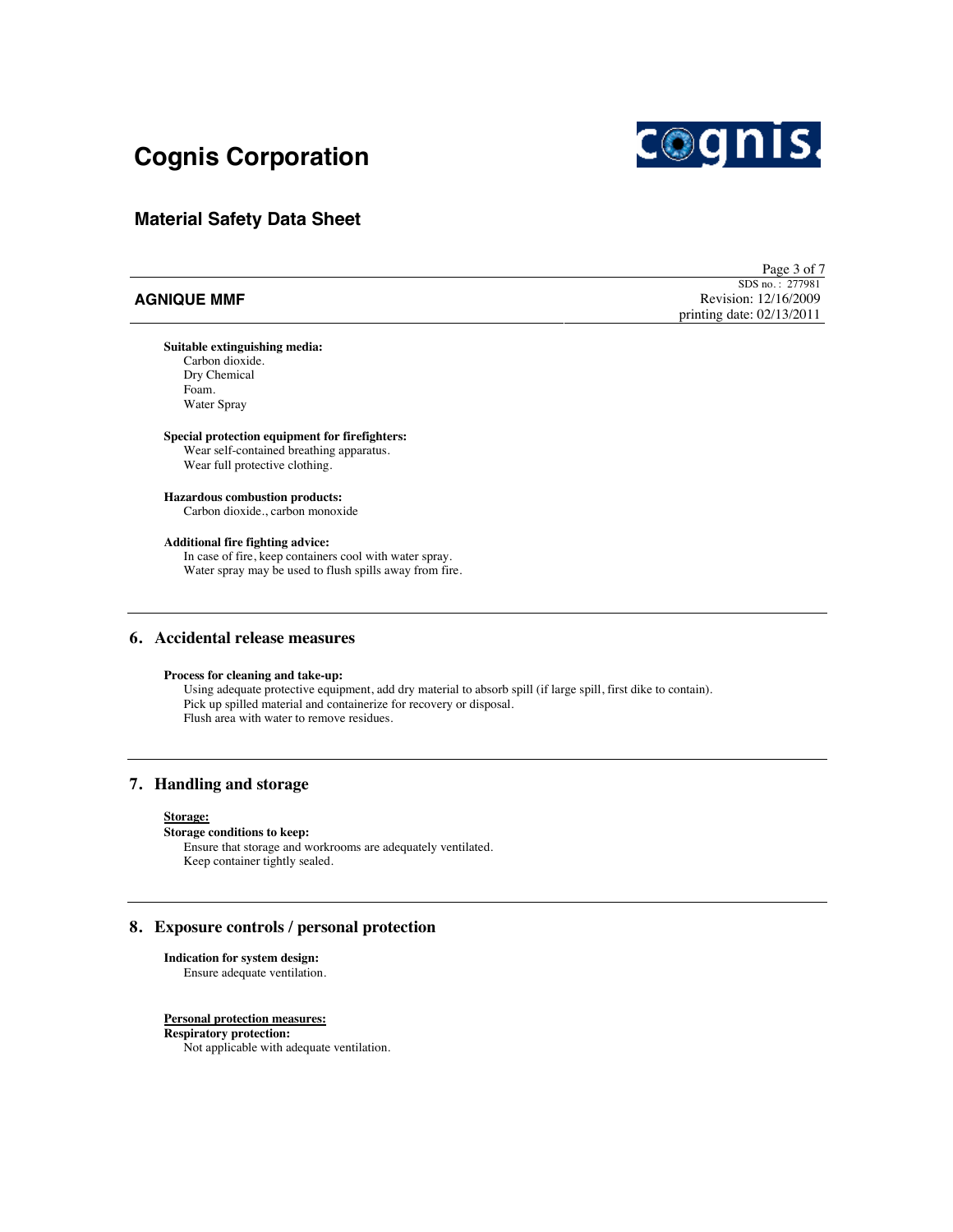

### **Material Safety Data Sheet**

Page 3 of 7 SDS no.: 277981 **AGNIQUE MMF** Revision: 12/16/2009 printing date: 02/13/2011

### **Suitable extinguishing media:**

Carbon dioxide. Dry Chemical Foam. Water Spray

### **Special protection equipment for firefighters:**

Wear self-contained breathing apparatus. Wear full protective clothing.

### **Hazardous combustion products:**

Carbon dioxide., carbon monoxide

### **Additional fire fighting advice:**

In case of fire, keep containers cool with water spray. Water spray may be used to flush spills away from fire.

### **6. Accidental release measures**

### **Process for cleaning and take-up:**

Using adequate protective equipment, add dry material to absorb spill (if large spill, first dike to contain). Pick up spilled material and containerize for recovery or disposal. Flush area with water to remove residues.

### **7. Handling and storage**

#### **Storage:**

**Storage conditions to keep:** Ensure that storage and workrooms are adequately ventilated. Keep container tightly sealed.

### **8. Exposure controls / personal protection**

### **Indication for system design:**

Ensure adequate ventilation.

### **Personal protection measures:**

**Respiratory protection:**  Not applicable with adequate ventilation.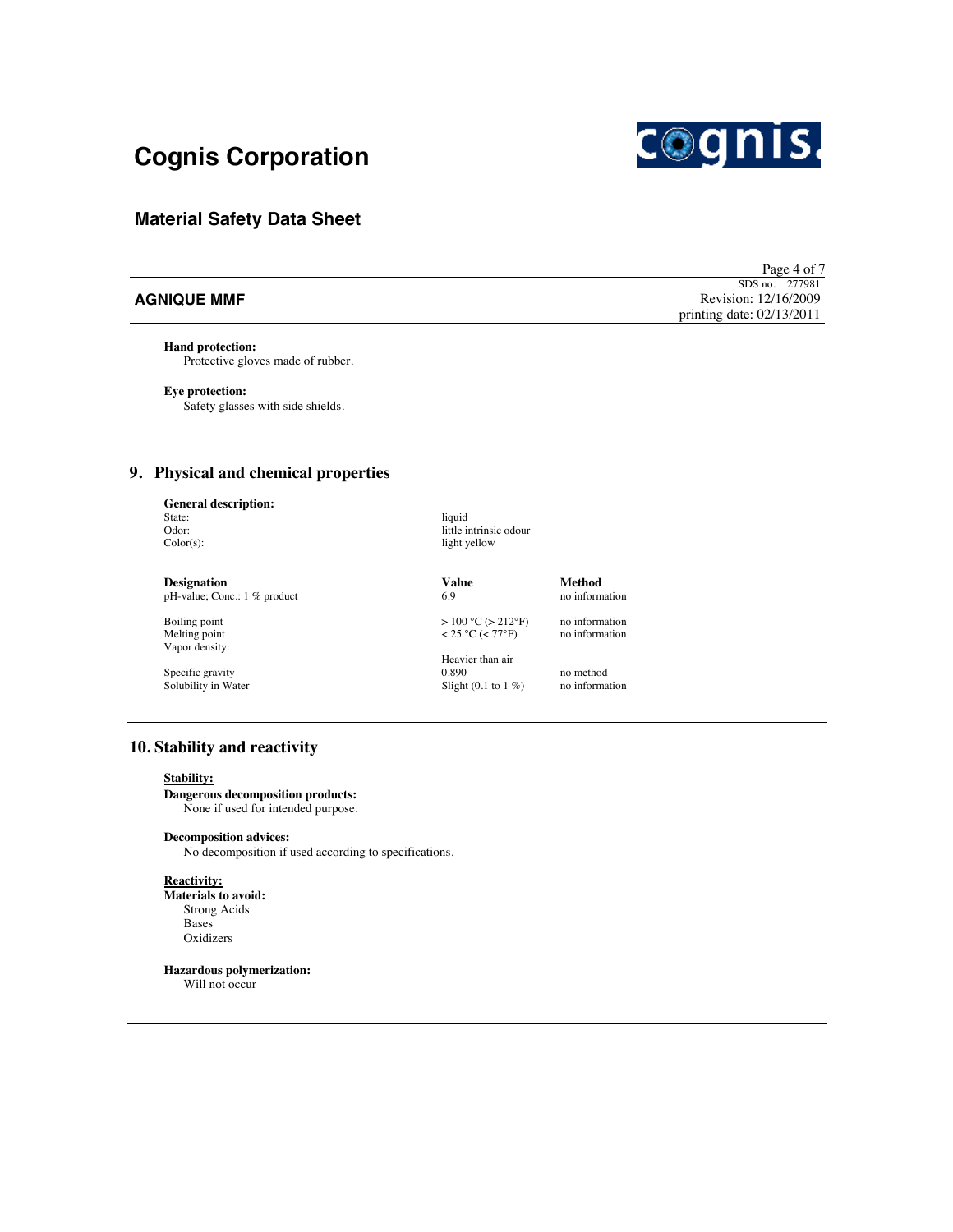

Page 4 of 7 SDS no.: 277981

printing date: 02/13/2011

### **Material Safety Data Sheet**

# **AGNIQUE MMF** Revision: 12/16/2009

**Hand protection:**  Protective gloves made of rubber.

**Eye protection:** 

Safety glasses with side shields.

### **9. Physical and chemical properties**

**General description:**  State: liquid

Odor: little intrinsic odour<br>
Color(s): light yellow<br>
light yellow<br>
light yellow light yellow

| <b>Designation</b>           | Value                    | Method         |
|------------------------------|--------------------------|----------------|
| pH-value; Conc.: 1 % product | 6.9                      | no information |
| Boiling point                | $>100 °C$ ( $>212 °F$ )  | no information |
| Melting point                | $< 25 °C$ (< 77°F)       | no information |
| Vapor density:               |                          |                |
|                              | Heavier than air         |                |
| Specific gravity             | 0.890                    | no method      |
| Solubility in Water          | Slight $(0.1$ to $1\%$ ) | no information |

### **10. Stability and reactivity**

### **Stability:**

**Dangerous decomposition products:** 

None if used for intended purpose.

### **Decomposition advices:**

No decomposition if used according to specifications.

### **Reactivity:**

**Materials to avoid:**  Strong Acids Bases Oxidizers

### **Hazardous polymerization:**

Will not occur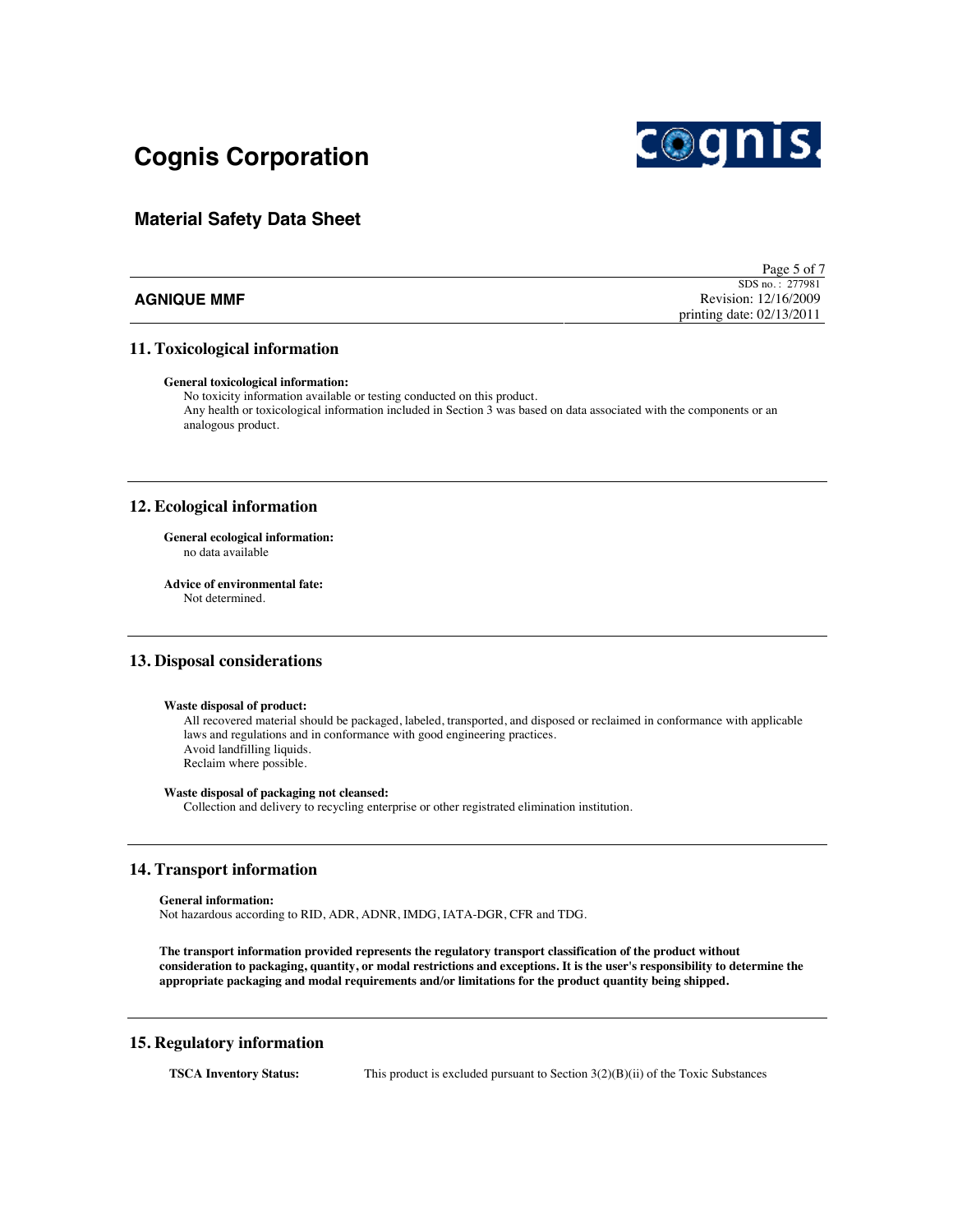

### **Material Safety Data Sheet**

|                    | Page 5 of 7                 |
|--------------------|-----------------------------|
|                    | SDS no.: 277981             |
| <b>AGNIQUE MMF</b> | Revision: 12/16/2009        |
|                    | printing date: $02/13/2011$ |

### **11. Toxicological information**

### **General toxicological information:**

No toxicity information available or testing conducted on this product. Any health or toxicological information included in Section 3 was based on data associated with the components or an analogous product.

### **12. Ecological information**

**General ecological information:**  no data available

**Advice of environmental fate:**  Not determined.

### **13. Disposal considerations**

### **Waste disposal of product:**

All recovered material should be packaged, labeled, transported, and disposed or reclaimed in conformance with applicable laws and regulations and in conformance with good engineering practices. Avoid landfilling liquids. Reclaim where possible.

### **Waste disposal of packaging not cleansed:**

Collection and delivery to recycling enterprise or other registrated elimination institution.

### **14. Transport information**

### **General information:**

Not hazardous according to RID, ADR, ADNR, IMDG, IATA-DGR, CFR and TDG.

**The transport information provided represents the regulatory transport classification of the product without consideration to packaging, quantity, or modal restrictions and exceptions. It is the user's responsibility to determine the appropriate packaging and modal requirements and/or limitations for the product quantity being shipped.** 

### **15. Regulatory information**

**TSCA Inventory Status:** This product is excluded pursuant to Section 3(2)(B)(ii) of the Toxic Substances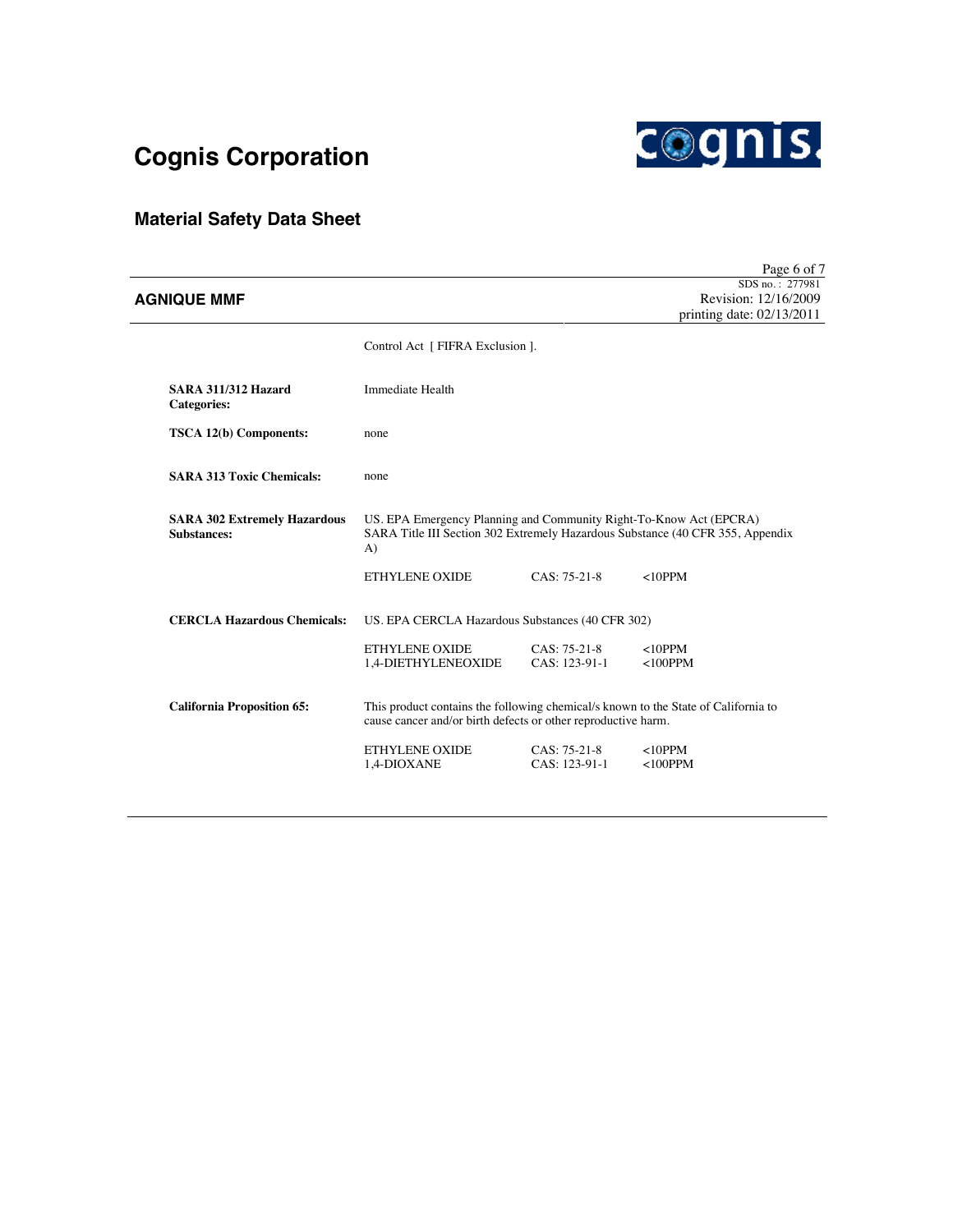

## **Material Safety Data Sheet**

|                                                           |                                                                                                                                                            |                                   | Page 6 of 7                                                            |
|-----------------------------------------------------------|------------------------------------------------------------------------------------------------------------------------------------------------------------|-----------------------------------|------------------------------------------------------------------------|
| <b>AGNIQUE MMF</b>                                        |                                                                                                                                                            |                                   | SDS no.: 277981<br>Revision: 12/16/2009<br>printing date: $02/13/2011$ |
|                                                           | Control Act [ FIFRA Exclusion ].                                                                                                                           |                                   |                                                                        |
| <b>SARA 311/312 Hazard</b><br><b>Categories:</b>          | Immediate Health                                                                                                                                           |                                   |                                                                        |
| TSCA 12(b) Components:                                    | none                                                                                                                                                       |                                   |                                                                        |
| <b>SARA 313 Toxic Chemicals:</b>                          | none                                                                                                                                                       |                                   |                                                                        |
| <b>SARA 302 Extremely Hazardous</b><br><b>Substances:</b> | US. EPA Emergency Planning and Community Right-To-Know Act (EPCRA)<br>SARA Title III Section 302 Extremely Hazardous Substance (40 CFR 355, Appendix<br>A) |                                   |                                                                        |
|                                                           | ETHYLENE OXIDE                                                                                                                                             | $CAS: 75-21-8$                    | $<10$ PPM                                                              |
| <b>CERCLA Hazardous Chemicals:</b>                        | US. EPA CERCLA Hazardous Substances (40 CFR 302)                                                                                                           |                                   |                                                                        |
|                                                           | ETHYLENE OXIDE<br>1,4-DIETHYLENEOXIDE                                                                                                                      | $CAS: 75-21-8$<br>CAS: 123-91-1   | $<10$ PPM<br>$<$ 100PPM                                                |
| <b>California Proposition 65:</b>                         | This product contains the following chemical/s known to the State of California to<br>cause cancer and/or birth defects or other reproductive harm.        |                                   |                                                                        |
|                                                           | <b>ETHYLENE OXIDE</b><br>1,4-DIOXANE                                                                                                                       | $CAS: 75-21-8$<br>$CAS: 123-91-1$ | $<10$ PPM<br>$<100$ PPM                                                |
|                                                           |                                                                                                                                                            |                                   |                                                                        |